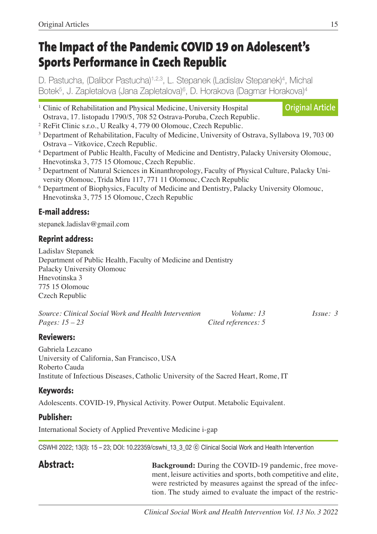# **The Impact of the Pandemic COVID 19 on Adolescent's Sports Performance in Czech Republic**

D. Pastucha, (Dalibor Pastucha)<sup>1,2,3</sup>, L. Stepanek (Ladislav Stepanek)<sup>4</sup>, Michal Botek<sup>5</sup>, J. Zapletalova (Jana Zapletalova)<sup>6</sup>, D. Horakova (Dagmar Horakova)<sup>4</sup>

- <sup>1</sup> Clinic of Rehabilitation and Physical Medicine, University Hospital Ostrava, 17. listopadu 1790/5, 708 52 Ostrava-Poruba, Czech Republic. **Original Article**
- <sup>2</sup> ReFit Clinic s.r.o., U Realky 4, 779 00 Olomouc, Czech Republic.
- <sup>3</sup> Department of Rehabilitation, Faculty of Medicine, University of Ostrava, Syllabova 19, 703 00 Ostrava – Vitkovice, Czech Republic.
- <sup>4</sup> Department of Public Health, Faculty of Medicine and Dentistry, Palacky University Olomouc, Hnevotinska 3, 775 15 Olomouc, Czech Republic.
- <sup>5</sup> Department of Natural Sciences in Kinanthropology, Faculty of Physical Culture, Palacky University Olomouc, Trida Miru 117, 771 11 Olomouc, Czech Republic
- <sup>6</sup> Department of Biophysics, Faculty of Medicine and Dentistry, Palacky University Olomouc, Hnevotinska 3, 775 15 Olomouc, Czech Republic

## **E-mail address:**

stepanek.ladislav@gmail.com

## **Reprint address:**

Ladislav Stepanek Department of Public Health, Faculty of Medicine and Dentistry Palacky University Olomouc Hnevotinska 3 775 15 Olomouc Czech Republic

| Source: Clinical Social Work and Health Intervention | Volume: 13          | Issue: 3 |
|------------------------------------------------------|---------------------|----------|
| <i>Pages:</i> $15 - 23$                              | Cited references: 5 |          |

## **Reviewers:**

Gabriela Lezcano University of California, San Francisco, USA Roberto Cauda Institute of Infectious Diseases, Catholic University of the Sacred Heart, Rome, IT

## **Keywords:**

Adolescents. COVID-19, Physical Activity. Power Output. Metabolic Equivalent.

## **Publisher:**

International Society of Applied Preventive Medicine i-gap

CSWHI 2022; 13(3): 15 – 23; DOI: 10.22359/cswhi\_13\_3\_02 ⓒ Clinical Social Work and Health Intervention

**Abstract: Background:** During the COVID-19 pandemic, free movement, leisure activities and sports, both competitive and elite, were restricted by measures against the spread of the infection. The study aimed to evaluate the impact of the restric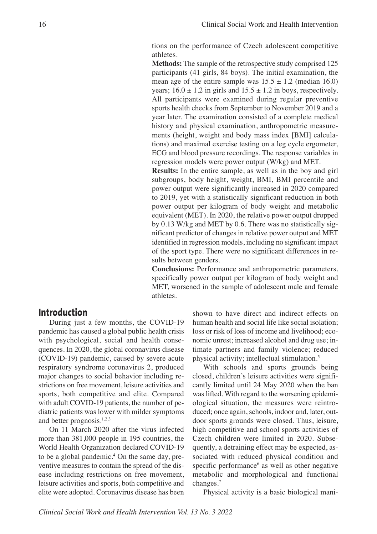tions on the performance of Czech adolescent competitive athletes.

 **Methods:** The sample of the retrospective study comprised 125 participants (41 girls, 84 boys). The initial examination, the mean age of the entire sample was  $15.5 \pm 1.2$  (median 16.0) years;  $16.0 \pm 1.2$  in girls and  $15.5 \pm 1.2$  in boys, respectively. All participants were examined during regular preventive sports health checks from September to November 2019 and a year later. The examination consisted of a complete medical history and physical examination, anthropometric measurements (height, weight and body mass index [BMI] calculations) and maximal exercise testing on a leg cycle ergometer, ECG and blood pressure recordings. The response variables in regression models were power output (W/kg) and MET.

 **Results:** In the entire sample, as well as in the boy and girl subgroups, body height, weight, BMI, BMI percentile and power output were significantly increased in 2020 compared to 2019, yet with a statistically significant reduction in both power output per kilogram of body weight and metabolic equivalent (MET). In 2020, the relative power output dropped by 0.13 W/kg and MET by 0.6. There was no statistically significant predictor of changes in relative power output and MET identified in regression models, including no significant impact of the sport type. There were no significant differences in results between genders.

 **Conclusions:** Performance and anthropometric parameters, specifically power output per kilogram of body weight and MET, worsened in the sample of adolescent male and female athletes.

## **Introduction**

During just a few months, the COVID-19 pandemic has caused a global public health crisis with psychological, social and health consequences. In 2020, the global coronavirus disease (COVID-19) pandemic, caused by severe acute respiratory syndrome coronavirus 2, produced major changes to social behavior including restrictions on free movement, leisure activities and sports, both competitive and elite. Compared with adult COVID-19 patients, the number of pediatric patients was lower with milder symptoms and better prognosis. 1,2,3

On 11 March 2020 after the virus infected more than 381,000 people in 195 countries, the World Health Organization declared COVID-19 to be a global pandemic. <sup>4</sup> On the same day, preventive measures to contain the spread of the disease including restrictions on free movement, leisure activities and sports, both competitive and elite were adopted. Coronavirus disease has been

shown to have direct and indirect effects on human health and social life like social isolation; loss or risk of loss of income and livelihood; economic unrest; increased alcohol and drug use; intimate partners and family violence; reduced physical activity; intellectual stimulation. 5

With schools and sports grounds being closed, children's leisure activities were significantly limited until 24 May 2020 when the ban was lifted. With regard to the worsening epidemiological situation, the measures were reintroduced; once again, schools, indoor and, later, outdoor sports grounds were closed. Thus, leisure, high competitive and school sports activities of Czech children were limited in 2020. Subsequently, a detraining effect may be expected, associated with reduced physical condition and specific performance<sup>6</sup> as well as other negative metabolic and morphological and functional changes. 7

Physical activity is a basic biological mani-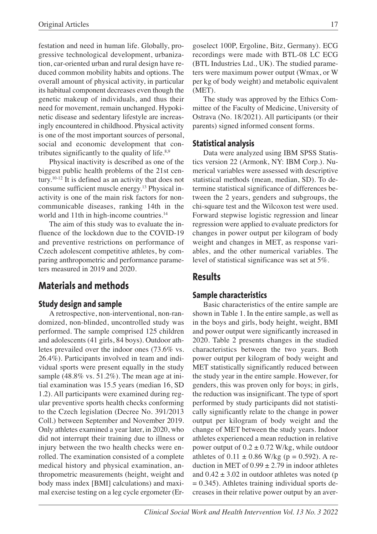festation and need in human life. Globally, progressive technological development, urbanization, car-oriented urban and rural design have reduced common mobility habits and options. The overall amount of physical activity, in particular its habitual component decreases even though the genetic makeup of individuals, and thus their need for movement, remain unchanged. Hypokinetic disease and sedentary lifestyle are increasingly encountered in childhood. Physical activity is one of the most important sources of personal, social and economic development that contributes significantly to the quality of life.<sup>8,9</sup>

Physical inactivity is described as one of the biggest public health problems of the 21st century. 10-12 It is defined as an activity that does not consume sufficient muscle energy. <sup>13</sup> Physical inactivity is one of the main risk factors for noncommunicable diseases, ranking 14th in the world and 11th in high-income countries. 14

The aim of this study was to evaluate the influence of the lockdown due to the COVID-19 and preventive restrictions on performance of Czech adolescent competitive athletes, by comparing anthropometric and performance parameters measured in 2019 and 2020.

## **Materials and methods**

#### **Study design and sample**

A retrospective, non-interventional, non-randomized, non-blinded, uncontrolled study was performed. The sample comprised 125 children and adolescents (41 girls, 84 boys). Outdoor athletes prevailed over the indoor ones (73.6% vs. 26.4%). Participants involved in team and individual sports were present equally in the study sample (48.8% vs. 51.2%). The mean age at initial examination was 15.5 years (median 16, SD 1.2). All participants were examined during regular preventive sports health checks conforming to the Czech legislation (Decree No. 391/2013 Coll.) between September and November 2019. Only athletes examined a year later, in 2020, who did not interrupt their training due to illness or injury between the two health checks were enrolled. The examination consisted of a complete medical history and physical examination, anthropometric measurements (height, weight and body mass index [BMI] calculations) and maximal exercise testing on a leg cycle ergometer (Ergoselect 100P, Ergoline, Bitz, Germany). ECG recordings were made with BTL-08 LC ECG (BTL Industries Ltd., UK). The studied parameters were maximum power output (Wmax, or W per kg of body weight) and metabolic equivalent (MET).

The study was approved by the Ethics Committee of the Faculty of Medicine, University of Ostrava (No. 18/2021). All participants (or their parents) signed informed consent forms.

#### **Statistical analysis**

Data were analyzed using IBM SPSS Statistics version 22 (Armonk, NY: IBM Corp.). Numerical variables were assessed with descriptive statistical methods (mean, median, SD). To determine statistical significance of differences between the 2 years, genders and subgroups, the chi-square test and the Wilcoxon test were used. Forward stepwise logistic regression and linear regression were applied to evaluate predictors for changes in power output per kilogram of body weight and changes in MET, as response variables, and the other numerical variables. The level of statistical significance was set at 5%.

## **Results**

#### **Sample characteristics**

Basic characteristics of the entire sample are shown in Table 1. In the entire sample, as well as in the boys and girls, body height, weight, BMI and power output were significantly increased in 2020. Table 2 presents changes in the studied characteristics between the two years. Both power output per kilogram of body weight and MET statistically significantly reduced between the study year in the entire sample. However, for genders, this was proven only for boys; in girls, the reduction was insignificant. The type of sport performed by study participants did not statistically significantly relate to the change in power output per kilogram of body weight and the change of MET between the study years. Indoor athletes experienced a mean reduction in relative power output of  $0.2 \pm 0.72$  W/kg, while outdoor athletes of  $0.11 \pm 0.86$  W/kg (p = 0.592). A reduction in MET of  $0.99 \pm 2.79$  in indoor athletes and  $0.42 \pm 3.02$  in outdoor athletes was noted (p  $= 0.345$ ). Athletes training individual sports decreases in their relative power output by an aver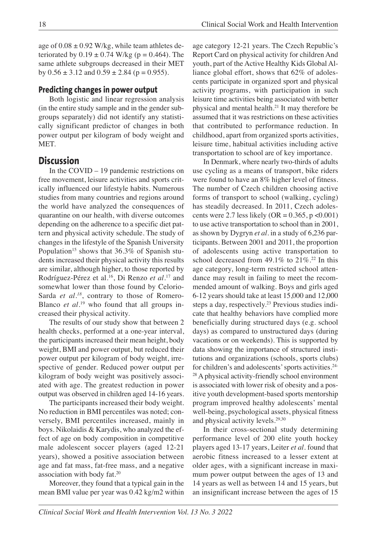age of  $0.08 \pm 0.92$  W/kg, while team athletes deteriorated by  $0.19 \pm 0.74$  W/kg (p = 0.464). The same athlete subgroups decreased in their MET by  $0.56 \pm 3.12$  and  $0.59 \pm 2.84$  (p = 0.955).

## **Predicting changes in power output**

Both logistic and linear regression analysis (in the entire study sample and in the gender subgroups separately) did not identify any statistically significant predictor of changes in both power output per kilogram of body weight and MET.

## **Discussion**

In the COVID – 19 pandemic restrictions on free movement, leisure activities and sports critically influenced our lifestyle habits. Numerous studies from many countries and regions around the world have analyzed the consequences of quarantine on our health, with diverse outcomes depending on the adherence to a specific diet pattern and physical activity schedule. The study of changes in the lifestyle of the Spanish University Population<sup>15</sup> shows that 36.3% of Spanish students increased their physical activity this results are similar, although higher, to those reported by Rodríguez-Pérez et al. 16 , Di Renzo *et al.* <sup>17</sup> and somewhat lower than those found by Celorio-Sarda *et al.<sup>18</sup>*, contrary to those of Romero-Blanco *et al*. <sup>19</sup> who found that all groups increased their physical activity.

The results of our study show that between 2 health checks, performed at a one-year interval, the participants increased their mean height, body weight, BMI and power output, but reduced their power output per kilogram of body weight, irrespective of gender. Reduced power output per kilogram of body weight was positively associated with age. The greatest reduction in power output was observed in children aged 14-16 years.

The participants increased their body weight. No reduction in BMI percentiles was noted; conversely, BMI percentiles increased, mainly in boys. Nikolaidis & Karydis, who analyzed the effect of age on body composition in competitive male adolescent soccer players (aged 12-21 years), showed a positive association between age and fat mass, fat-free mass, and a negative association with body fat. 20

Moreover, they found that a typical gain in the mean BMI value per year was 0.42 kg/m2 within age category 12-21 years. The Czech Republic's Report Card on physical activity for children And youth, part of the Active Healthy Kids Global Alliance global effort, shows that 62% of adolescents participate in organized sport and physical activity programs, with participation in such leisure time activities being associated with better physical and mental health. <sup>21</sup> It may therefore be assumed that it was restrictions on these activities that contributed to performance reduction. In childhood, apart from organized sports activities, leisure time, habitual activities including active transportation to school are of key importance.

In Denmark, where nearly two-thirds of adults use cycling as a means of transport, bike riders were found to have an 8% higher level of fitness. The number of Czech children choosing active forms of transport to school (walking, cycling) has steadily decreased. In 2011, Czech adolescents were 2.7 less likely (OR =  $0.365$ , p < 0.001) to use active transportation to school than in 2001, as shown by Dygryn *et al.* in a study of 6,236 participants. Between 2001 and 2011, the proportion of adolescents using active transportation to school decreased from 49.1% to 21%. <sup>22</sup> In this age category, long-term restricted school attendance may result in failing to meet the recommended amount of walking. Boys and girls aged 6-12 years should take at least 15,000 and 12,000 steps a day, respectively. <sup>23</sup> Previous studies indicate that healthy behaviors have complied more beneficially during structured days (e.g. school days) as compared to unstructured days (during vacations or on weekends). This is supported by data showing the importance of structured institutions and organizations (schools, sports clubs) for children's and adolescents'sports activities. 24- <sup>28</sup> A physical activity-friendly school environment is associated with lower risk of obesity and a positive youth development-based sports mentorship program improved healthy adolescents' mental well-being, psychological assets, physical fitness and physical activity levels. 29,30

In their cross-sectional study determining performance level of 200 elite youth hockey players aged 13-17 years, Leiter *et al.* found that aerobic fitness increased to a lesser extent at older ages, with a significant increase in maximum power output between the ages of 13 and 14 years as well as between 14 and 15 years, but an insignificant increase between the ages of 15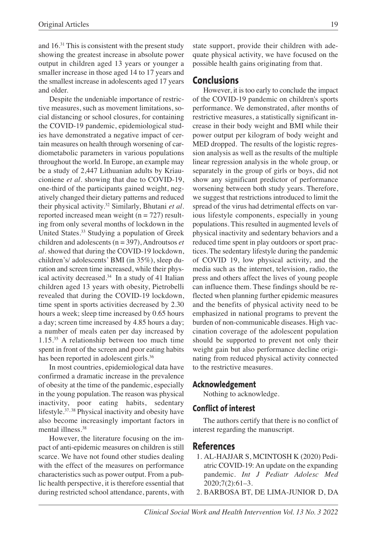and 16. <sup>31</sup> This is consistent with the present study showing the greatest increase in absolute power output in children aged 13 years or younger a smaller increase in those aged 14 to 17 years and the smallest increase in adolescents aged 17 years and older.

Despite the undeniable importance of restrictive measures, such as movement limitations, social distancing or school closures, for containing the COVID-19 pandemic, epidemiological studies have demonstrated a negative impact of certain measures on health through worsening of cardiometabolic parameters in various populations throughout the world. In Europe, an example may be a study of 2,447 Lithuanian adults by Kriaucioniene *et al*. showing that due to COVID-19, one-third of the participants gained weight, negatively changed their dietary patterns and reduced their physical activity. <sup>32</sup> Similarly, Bhutani *et al.* reported increased mean weight  $(n = 727)$  resulting from only several months of lockdown in the United States. <sup>33</sup> Studying a population of Greek children and adolescents (n = 397), Androutsos *et al.* showed that during the COVID-19 lockdown, children's/ adolescents' BMI (in 35%), sleep duration and screen time increased, while their physical activity decreased. <sup>34</sup> In a study of 41 Italian children aged 13 years with obesity, Pietrobelli revealed that during the COVID-19 lockdown, time spent in sports activities decreased by 2.30 hours a week; sleep time increased by 0.65 hours a day; screen time increased by 4.85 hours a day; a number of meals eaten per day increased by 1.15. <sup>35</sup> A relationship between too much time spent in front of the screen and poor eating habits has been reported in adolescent girls.<sup>36</sup>

In most countries, epidemiological data have confirmed a dramatic increase in the prevalence of obesity at the time of the pandemic, especially in the young population. The reason was physical inactivity, poor eating habits, sedentary lifestyle. 37, <sup>38</sup> Physical inactivity and obesity have also become increasingly important factors in mental illness. 38

However, the literature focusing on the impact of anti-epidemic measures on children is still scarce. We have not found other studies dealing with the effect of the measures on performance characteristics such as power output. From a public health perspective, it is therefore essential that during restricted school attendance, parents, with state support, provide their children with adequate physical activity, we have focused on the possible health gains originating from that.

## **Conclusions**

However, it is too early to conclude the impact of the COVID-19 pandemic on children's sports performance. We demonstrated, after months of restrictive measures, a statistically significant increase in their body weight and BMI while their power output per kilogram of body weight and MED dropped. The results of the logistic regression analysis as well as the results of the multiple linear regression analysis in the whole group, or separately in the group of girls or boys, did not show any significant predictor of performance worsening between both study years. Therefore, we suggest that restrictions introduced to limit the spread of the virus had detrimental effects on various lifestyle components, especially in young populations. This resulted in augmented levels of physical inactivity and sedentary behaviors and a reduced time spent in play outdoors or sport practices. The sedentary lifestyle during the pandemic of COVID 19, low physical activity, and the media such as the internet, television, radio, the press and others affect the lives of young people can influence them. These findings should be reflected when planning further epidemic measures and the benefits of physical activity need to be emphasized in national programs to prevent the burden of non-communicable diseases. High vaccination coverage of the adolescent population should be supported to prevent not only their weight gain but also performance decline originating from reduced physical activity connected to the restrictive measures.

### **Acknowledgement**

Nothing to acknowledge.

## **Conflict of interest**

The authors certify that there is no conflict of interest regarding the manuscript.

## **References**

- 1. AL-HAJJAR S, MCINTOSH K (2020) Pediatric COVID-19: An update on the expanding pandemic. *Int J Pediatr Adolesc Med* 2020;7(2):61–3.
- 2. BARBOSA BT, DE LIMA-JUNIOR D, DA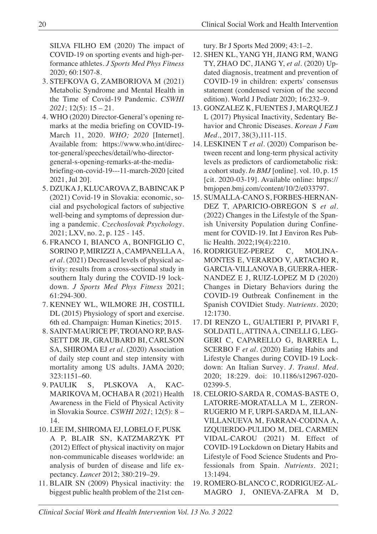SILVA FILHO EM (2020) The impact of COVID-19 on sporting events and high-performance athletes. *J Sports Med Phys Fitness* 2020; 60:1507-8.

- 3. STEFKOVA G, ZAMBORIOVA M (2021) Metabolic Syndrome and Mental Health in the Time of Covid-19 Pandemic. *CSWHI 2021*; 12(5): 15 – 21.
- 4. WHO (2020) Director-General's opening remarks at the media briefing on COVID-19- March 11, 2020. *WHO; 2020* [Internet]. Available from: https://www.who.int/director-general/speeches/detail/who-directorgeneral-s-opening-remarks-at-the-mediabriefing-on-covid-19---11-march-2020 [cited 2021, Jul 20].
- 5. DZUKA J, KLUCAROVA Z, BABINCAK P (2021) Covid-19 in Slovakia: economic, social and psychological factors of subjective well-being and symptoms of depression during a pandemic. *Czechoslovak Psychology*. 2021; LXV, no. 2, p. 125 - 145.
- 6. FRANCO I, BIANCO A, BONFIGLIO C, SORINO P, MIRIZZI A, CAMPANELLAA, *et al.* (2021) Decreased levels of physical activity: results from a cross-sectional study in southern Italy during the COVID-19 lockdown. *J Sports Med Phys Fitness* 2021; 61:294-300.
- 7. KENNEY WL, WILMORE JH, COSTILL DL (2015) Physiology of sport and exercise. 6th ed. Champaign: Human Kinetics; 2015.
- 8. SAINT-MAURICE PF, TROIANO RP, BAS-SETT DR JR, GRAUBARD BI, CARLSON SA, SHIROMA EJ *et al.* (2020) Association of daily step count and step intensity with mortality among US adults. JAMA 2020; 323:1151–60.
- 9. PAULIK S, PLSKOVA A, KAC-MARIKOVA M, OCHABA R (2021) Health Awareness in the Field of Physical Activity in Slovakia Source. *CSWHI 2021*; 12(5): 8 – 14.
- 10. LEE IM, SHIROMA EJ, LOBELO F, PUSK A P, BLAIR SN, KATZMARZYK PT (2012) Effect of physical inactivity on major non-communicable diseases worldwide: an analysis of burden of disease and life expectancy. *Lancet* 2012; 380:219–29.
- 11. BLAIR SN (2009) Physical inactivity: the biggest public health problem of the 21st cen-

tury. Br J Sports Med 2009; 43:1–2.

- 12. SHEN KL, YANG YH, JIANG RM, WANG TY, ZHAO DC, JIANG Y, *et al.* (2020) Updated diagnosis, treatment and prevention of COVID-19 in children: experts' consensus statement (condensed version of the second edition). World J Pediatr 2020; 16:232–9.
- 13. GONZALEZ K, FUENTES J, MARQUEZ J L (2017) Physical Inactivity, Sedentary Behavior and Chronic Diseases. *Korean J Fam Med*., 2017, 38(3),111-115.
- 14. LESKINEN T *et al.* (2020) Comparison between recent and long-term physical activity levels as predictors of cardiometabolic risk: a cohort study. *In BMJ* [online]. vol. 10, p. 15 [cit. 2020-03-19]. Available online: https:// bmjopen.bmj.com/content/10/2/e033797.
- 15. SUMALLA-CANO S, FORBES-HERNAN-DEZ T, APARICIO-OBREGON S *et al*. (2022) Changes in the Lifestyle of the Spanish University Population during Confinement for COVID-19. Int J Environ Res Public Health. 2022;19(4):2210.
- 16. RODRIGUEZ-PEREZ C, MOLINA-MONTES E, VERARDO V, ARTACHO R, GARCIA-VILLANOVA B, GUERRA-HER-NANDEZ E J, RUIZ-LOPEZ M D (2020) Changes in Dietary Behaviors during the COVID-19 Outbreak Confinement in the Spanish COVIDiet Study. *Nutrients*. 2020; 12:1730.
- 17. DI RENZO L, GUALTIERI P, PIVARI F, SOLDATI L, ATTINAA, CINELLI G, LEG-GERI C, CAPARELLO G, BARREA L, SCERBO F *et al.* (2020) Eating Habits and Lifestyle Changes during COVID-19 Lockdown: An Italian Survey*. J. Transl. Med*. 2020; 18:229. doi: 10.1186/s12967-020- 02399-5.
- 18. CELORIO-SARDA R, COMAS-BASTE O, LATORRE-MORATALLA M L, ZERON-RUGERIO M F, URPI-SARDA M, ILLAN-VILLANUEVA M, FARRAN-CODINA A, IZQUIERDO-PULIDO M, DEL CARMEN VIDAL-CAROU (2021) M. Effect of COVID-19 Lockdown on Dietary Habits and Lifestyle of Food Science Students and Professionals from Spain. *Nutrients*. 2021; 13:1494.
- 19. ROMERO-BLANCO C, RODRIGUEZ-AL-MAGRO J, ONIEVA-ZAFRA M D,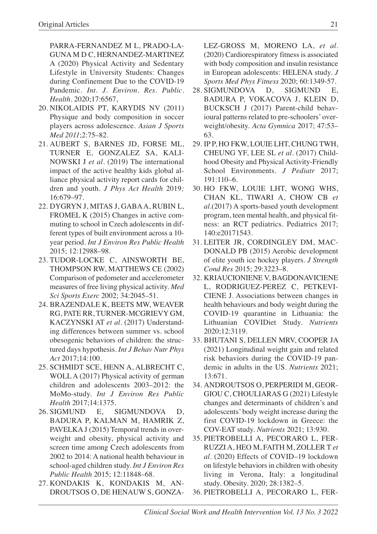PARRA-FERNANDEZ M L, PRADO-LA-GUNA M D C, HERNANDEZ-MARTINEZ A (2020) Physical Activity and Sedentary Lifestyle in University Students: Changes during Confinement Due to the COVID-19 Pandemic. *Int. J. Environ. Res. Public. Health*. 2020;17:6567,

- 20. NIKOLAIDIS PT, KARYDIS NV (2011) Physique and body composition in soccer players across adolescence. *Asian J Sports Med 2011*;2:75–82.
- 21. AUBERT S, BARNES JD, FORSE ML, TURNER E, GONZALEZ SA, KALI-NOWSKI J *et al.* (2019) The international impact of the active healthy kids global alliance physical activity report cards for children and youth. *J Phys Act Health* 2019*;* 16:679–97.
- 22. DYGRYN J, MITAS J, GABAA, RUBIN L, FROMEL K (2015) Changes in active commuting to school in Czech adolescents in different types of built environment across a 10 year period. *Int J Environ Res Public Health* 2015; 12:12988–98.
- 23. TUDOR-LOCKE C, AINSWORTH BE, THOMPSON RW, MATTHEWS CE (2002) Comparison of pedometer and accelerometer measures of free living physical activity. *Med Sci Sports Exerc* 2002; 34:2045–51.
- 24. BRAZENDALE K, BEETS MW, WEAVER RG, PATE RR, TURNER-MCGRIEVY GM, KACZYNSKI AT *et al.* (2017) Understanding differences between summer vs. school obesogenic behaviors of children: the structured days hypothesis. *Int J Behav Nutr Phys Act* 2017;14:100.
- 25. SCHMIDT SCE, HENN A, ALBRECHT C, WOLL A (2017) Physical activity of german children and adolescents 2003–2012: the MoMo-study. *Int J Environ Res Public Health* 2017;14:1375.
- 26. SIGMUND E, SIGMUNDOVA D, BADURA P, KALMAN M, HAMRIK Z, PAVELKA J (2015) Temporal trends in overweight and obesity, physical activity and screen time among Czech adolescents from 2002 to 2014: A national health behaviour in school-aged children study. *Int J Environ Res Public Health* 2015; 12:11848–68.
- 27. KONDAKIS K, KONDAKIS M, AN-DROUTSOS O, DE HENAUW S, GONZA-

LEZ-GROSS M, MORENO LA, *et al.* (2020) Cardiorespiratory fitness is associated with body composition and insulin resistance in European adolescents: HELENA study. *J Sports Med Phys Fitness* 2020; 60:1349-57.

- 28. SIGMUNDOVA D, SIGMUND E, BADURA P, VOKACOVA J, KLEIN D, BUCKSCH J (2017) Parent-child behavioural patterns related to pre-schoolers' overweight/obesity. *Acta Gymnica* 2017; 47:53– 63.
- 29. IP P, HO FKW, LOUIE LHT, CHUNG TWH, CHEUNG YF, LEE SL *et al.* (2017) Childhood Obesity and Physical Activity-Friendly School Environments. *J Pediatr* 2017; 191:110–6.
- 30. HO FKW, LOUIE LHT, WONG WHS, CHAN KL, TIWARI A, CHOW CB *et al.*(2017) A sports-based youth development program, teen mental health, and physical fitness: an RCT pediatrics. Pediatrics 2017; 140:e20171543.
- 31. LEITER JR, CORDINGLEY DM, MAC-DONALD PB (2015) Aerobic development of elite youth ice hockey players. *J Strength Cond Res* 2015; 29:3223–8.
- 32. KRIAUCIONIENE V, BAGDONAVICIENE L, RODRIGUEZ-PEREZ C, PETKEVI-CIENE J. Associations between changes in health behaviours and body weight during the COVID-19 quarantine in Lithuania: the Lithuanian COVIDiet Study. *Nutrients* 2020;12:3119.
- 33. BHUTANI S, DELLEN MRV, COOPER JA (2021) Longitudinal weight gain and related risk behaviors during the COVID-19 pandemic in adults in the US. *Nutrients* 2021; 13:671.
- 34. ANDROUTSOS O, PERPERIDI M, GEOR-GIOU C, CHOULIARAS G (2021) Lifestyle changes and determinants of children's and adolescents' body weight increase during the first COVID-19 lockdown in Greece: the COV-EAT study. *Nutrients* 2021; 13:930.
- 35. PIETROBELLI A, PECORARO L, FER-RUZZI A, HEO M, FAITH M, ZOLLER T *et al.* (2020) Effects of COVID–19 lockdown on lifestyle behaviors in children with obesity living in Verona, Italy: a longitudinal study. Obesity. 2020; 28:1382–5.
- 36. PIETROBELLI A, PECORARO L, FER-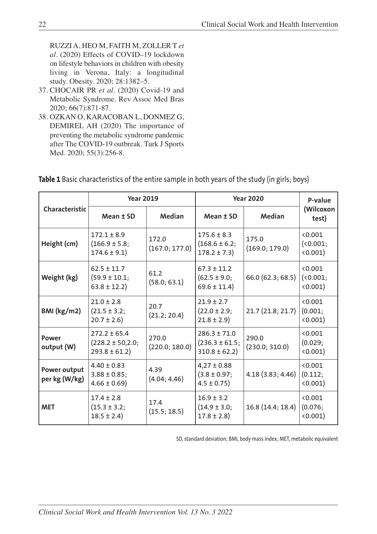RUZZI A, HEO M, FAITH M, ZOLLER T *et al.* (2020) Effects of COVID–19 lockdown on lifestyle behaviors in children with obesity living in Verona, Italy: a longitudinal study. Obesity. 2020; 28:1382–5.

- 37. CHOCAIR PR *et al*. (2020) Covid-19 and Metabolic Syndrome. Rev Assoc Med Bras 2020; 66(7):871-87.
- 38. OZKAN O, KARACOBAN L, DONMEZ G, DEMIREL AH (2020) The importance of preventing the metabolic syndrome pandemic after The COVID-19 outbreak. Turk J Sports Med. 2020; 55(3):256-8.

|                               | <b>Year 2019</b>                                              |                         | <b>Year 2020</b>                                           |                         | P-value                       |  |
|-------------------------------|---------------------------------------------------------------|-------------------------|------------------------------------------------------------|-------------------------|-------------------------------|--|
| Characteristic                | Mean ± SD                                                     | <b>Median</b>           | Mean ± SD                                                  | Median                  | (Wilcoxon<br>test)            |  |
| Height (cm)                   | $172.1 \pm 8.9$<br>$(166.9 \pm 5.8)$<br>$174.6 \pm 9.1$       | 172.0<br>(167.0; 177.0) | $175.6 \pm 8.3$<br>$(168.6 \pm 6.2)$<br>$178.2 \pm 7.3$    | 175.0<br>(169.0; 179.0) | 0.001<br>(0.001;<br>(0.001)   |  |
| Weight (kg)                   | $62.5 \pm 11.7$<br>$(59.9 \pm 10.1)$<br>$63.8 \pm 12.2$       | 61.2<br>(58.0; 63.1)    | $67.3 \pm 11.2$<br>$(62.5 \pm 9.0)$ ;<br>$69.6 \pm 11.4$ ) | 66.0 (62.3; 68.5)       | < 0.001<br>(0.001;<br>(0.001) |  |
| BMI (kg/m2)                   | $21.0 \pm 2.8$<br>$(21.5 \pm 3.2)$<br>$20.7 \pm 2.6$          | 20.7<br>(21.2; 20.4)    | $21.9 \pm 2.7$<br>$(22.0 \pm 2.9)$ ;<br>$21.8 \pm 2.9$     | 21.7(21.8; 21.7)        | < 0.001<br>(0.001;<br>(0.001) |  |
| Power<br>output (W)           | $272.2 \pm 65.4$<br>$(228.2 \pm 50, 2.0)$<br>$293.8 \pm 61.2$ | 270.0<br>(220.0; 180.0) | $286.3 \pm 71.0$<br>$(236.3 \pm 61.5)$<br>$310.8 \pm 62.2$ | 290.0<br>(230.0; 310.0) | < 0.001<br>(0.029;<br>(0.001) |  |
| Power output<br>per kg (W/kg) | $4.40 \pm 0.83$<br>$3.88 \pm 0.85$ ;<br>$4.66 \pm 0.69$       | 4.39<br>(4.04; 4.46)    | $4,27 \pm 0.88$<br>$(3.8 \pm 0.97)$<br>$4.5 \pm 0.75$ )    | 4.18 (3.83; 4.46)       | < 0.001<br>(0.112;<br>(0.001) |  |
| <b>MET</b>                    | $17.4 \pm 2.8$<br>$(15.3 \pm 3.2)$<br>$18.5 \pm 2.4$          | 17.4<br>(15.5; 18.5)    | $16.9 \pm 3.2$<br>$(14.9 \pm 3.0)$ ;<br>$17.8 \pm 2.8$     | 16.8 (14.4; 18.4)       | < 0.001<br>(0.076;<br>(0.001) |  |

**Table 1** Basic characteristics of the entire sample in both years of the study (in girls; boys)

SD, standard deviation; BMI, body mass index; MET, metabolic equivalent